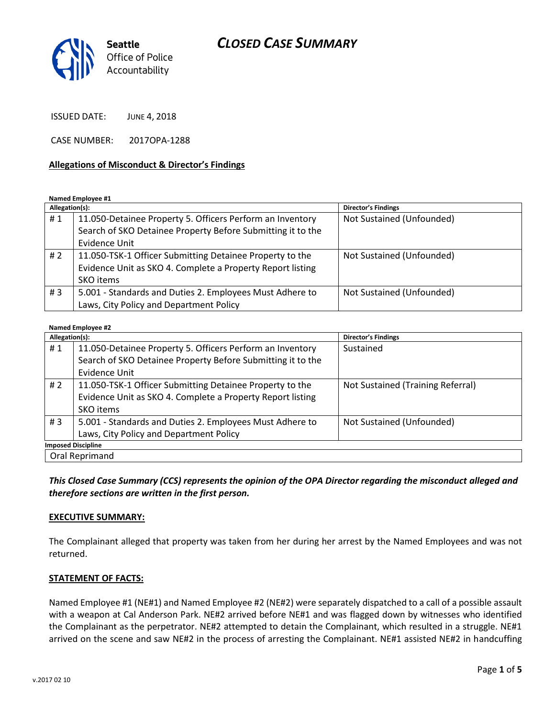# *CLOSED CASE SUMMARY*



ISSUED DATE: JUNE 4, 2018

CASE NUMBER: 2017OPA-1288

#### **Allegations of Misconduct & Director's Findings**

**Named Employee #1**

| Allegation(s): |                                                             | <b>Director's Findings</b> |
|----------------|-------------------------------------------------------------|----------------------------|
| #1             | 11.050-Detainee Property 5. Officers Perform an Inventory   | Not Sustained (Unfounded)  |
|                | Search of SKO Detainee Property Before Submitting it to the |                            |
|                | <b>Evidence Unit</b>                                        |                            |
| # 2            | 11.050-TSK-1 Officer Submitting Detainee Property to the    | Not Sustained (Unfounded)  |
|                | Evidence Unit as SKO 4. Complete a Property Report listing  |                            |
|                | SKO items                                                   |                            |
| #3             | 5.001 - Standards and Duties 2. Employees Must Adhere to    | Not Sustained (Unfounded)  |
|                | Laws, City Policy and Department Policy                     |                            |

#### **Named Employee #2**

| Allegation(s):            |                                                             | Director's Findings               |  |
|---------------------------|-------------------------------------------------------------|-----------------------------------|--|
| #1                        | 11.050-Detainee Property 5. Officers Perform an Inventory   | Sustained                         |  |
|                           | Search of SKO Detainee Property Before Submitting it to the |                                   |  |
|                           | <b>Evidence Unit</b>                                        |                                   |  |
| # $2$                     | 11.050-TSK-1 Officer Submitting Detainee Property to the    | Not Sustained (Training Referral) |  |
|                           | Evidence Unit as SKO 4. Complete a Property Report listing  |                                   |  |
|                           | SKO items                                                   |                                   |  |
| #3                        | 5.001 - Standards and Duties 2. Employees Must Adhere to    | Not Sustained (Unfounded)         |  |
|                           | Laws, City Policy and Department Policy                     |                                   |  |
| <b>Imposed Discipline</b> |                                                             |                                   |  |
| Oral Reprimand            |                                                             |                                   |  |

*This Closed Case Summary (CCS) represents the opinion of the OPA Director regarding the misconduct alleged and therefore sections are written in the first person.* 

#### **EXECUTIVE SUMMARY:**

The Complainant alleged that property was taken from her during her arrest by the Named Employees and was not returned.

#### **STATEMENT OF FACTS:**

Named Employee #1 (NE#1) and Named Employee #2 (NE#2) were separately dispatched to a call of a possible assault with a weapon at Cal Anderson Park. NE#2 arrived before NE#1 and was flagged down by witnesses who identified the Complainant as the perpetrator. NE#2 attempted to detain the Complainant, which resulted in a struggle. NE#1 arrived on the scene and saw NE#2 in the process of arresting the Complainant. NE#1 assisted NE#2 in handcuffing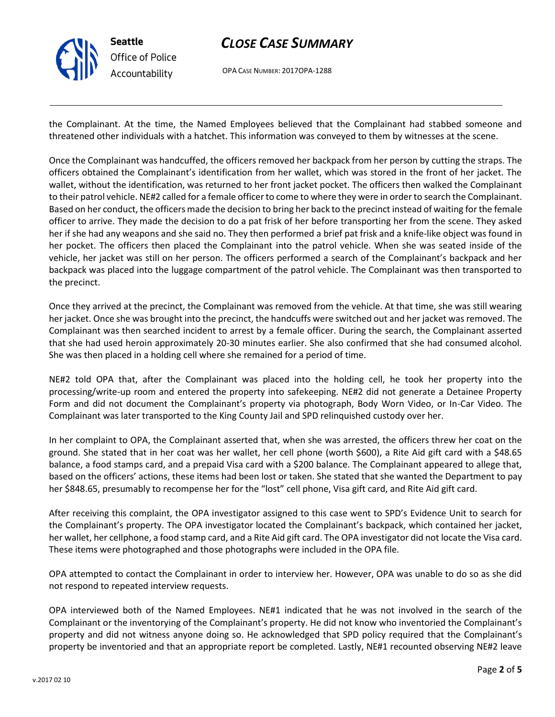

# *CLOSE CASE SUMMARY*

OPA CASE NUMBER: 2017OPA-1288

the Complainant. At the time, the Named Employees believed that the Complainant had stabbed someone and threatened other individuals with a hatchet. This information was conveyed to them by witnesses at the scene.

Once the Complainant was handcuffed, the officers removed her backpack from her person by cutting the straps. The officers obtained the Complainant's identification from her wallet, which was stored in the front of her jacket. The wallet, without the identification, was returned to her front jacket pocket. The officers then walked the Complainant to their patrol vehicle. NE#2 called for a female officer to come to where they were in order to search the Complainant. Based on her conduct, the officers made the decision to bring her back to the precinct instead of waiting for the female officer to arrive. They made the decision to do a pat frisk of her before transporting her from the scene. They asked her if she had any weapons and she said no. They then performed a brief pat frisk and a knife-like object was found in her pocket. The officers then placed the Complainant into the patrol vehicle. When she was seated inside of the vehicle, her jacket was still on her person. The officers performed a search of the Complainant's backpack and her backpack was placed into the luggage compartment of the patrol vehicle. The Complainant was then transported to the precinct.

Once they arrived at the precinct, the Complainant was removed from the vehicle. At that time, she was still wearing her jacket. Once she was brought into the precinct, the handcuffs were switched out and her jacket was removed. The Complainant was then searched incident to arrest by a female officer. During the search, the Complainant asserted that she had used heroin approximately 20-30 minutes earlier. She also confirmed that she had consumed alcohol. She was then placed in a holding cell where she remained for a period of time.

NE#2 told OPA that, after the Complainant was placed into the holding cell, he took her property into the processing/write-up room and entered the property into safekeeping. NE#2 did not generate a Detainee Property Form and did not document the Complainant's property via photograph, Body Worn Video, or In-Car Video. The Complainant was later transported to the King County Jail and SPD relinquished custody over her.

In her complaint to OPA, the Complainant asserted that, when she was arrested, the officers threw her coat on the ground. She stated that in her coat was her wallet, her cell phone (worth \$600), a Rite Aid gift card with a \$48.65 balance, a food stamps card, and a prepaid Visa card with a \$200 balance. The Complainant appeared to allege that, based on the officers' actions, these items had been lost or taken. She stated that she wanted the Department to pay her \$848.65, presumably to recompense her for the "lost" cell phone, Visa gift card, and Rite Aid gift card.

After receiving this complaint, the OPA investigator assigned to this case went to SPD's Evidence Unit to search for the Complainant's property. The OPA investigator located the Complainant's backpack, which contained her jacket, her wallet, her cellphone, a food stamp card, and a Rite Aid gift card. The OPA investigator did not locate the Visa card. These items were photographed and those photographs were included in the OPA file.

OPA attempted to contact the Complainant in order to interview her. However, OPA was unable to do so as she did not respond to repeated interview requests.

OPA interviewed both of the Named Employees. NE#1 indicated that he was not involved in the search of the Complainant or the inventorying of the Complainant's property. He did not know who inventoried the Complainant's property and did not witness anyone doing so. He acknowledged that SPD policy required that the Complainant's property be inventoried and that an appropriate report be completed. Lastly, NE#1 recounted observing NE#2 leave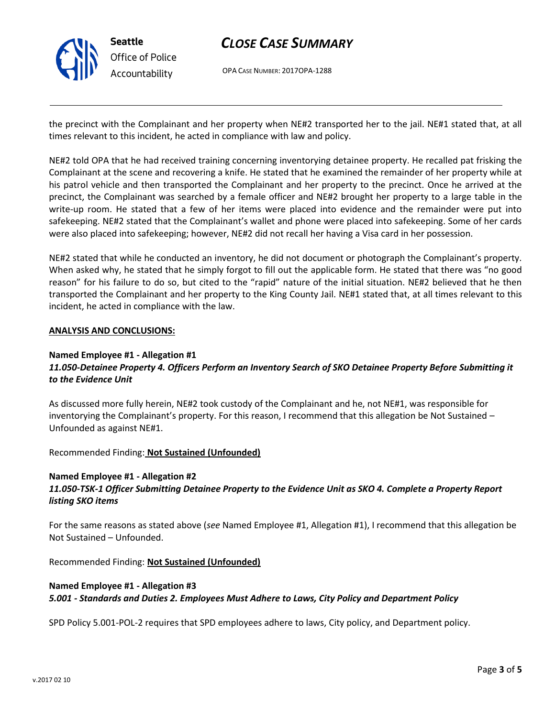

# *CLOSE CASE SUMMARY*

OPA CASE NUMBER: 2017OPA-1288

the precinct with the Complainant and her property when NE#2 transported her to the jail. NE#1 stated that, at all times relevant to this incident, he acted in compliance with law and policy.

NE#2 told OPA that he had received training concerning inventorying detainee property. He recalled pat frisking the Complainant at the scene and recovering a knife. He stated that he examined the remainder of her property while at his patrol vehicle and then transported the Complainant and her property to the precinct. Once he arrived at the precinct, the Complainant was searched by a female officer and NE#2 brought her property to a large table in the write-up room. He stated that a few of her items were placed into evidence and the remainder were put into safekeeping. NE#2 stated that the Complainant's wallet and phone were placed into safekeeping. Some of her cards were also placed into safekeeping; however, NE#2 did not recall her having a Visa card in her possession.

NE#2 stated that while he conducted an inventory, he did not document or photograph the Complainant's property. When asked why, he stated that he simply forgot to fill out the applicable form. He stated that there was "no good reason" for his failure to do so, but cited to the "rapid" nature of the initial situation. NE#2 believed that he then transported the Complainant and her property to the King County Jail. NE#1 stated that, at all times relevant to this incident, he acted in compliance with the law.

#### **ANALYSIS AND CONCLUSIONS:**

#### **Named Employee #1 - Allegation #1**

## *11.050-Detainee Property 4. Officers Perform an Inventory Search of SKO Detainee Property Before Submitting it to the Evidence Unit*

As discussed more fully herein, NE#2 took custody of the Complainant and he, not NE#1, was responsible for inventorying the Complainant's property. For this reason, I recommend that this allegation be Not Sustained – Unfounded as against NE#1.

Recommended Finding: **Not Sustained (Unfounded)**

## **Named Employee #1 - Allegation #2**

### *11.050-TSK-1 Officer Submitting Detainee Property to the Evidence Unit as SKO 4. Complete a Property Report listing SKO items*

For the same reasons as stated above (*see* Named Employee #1, Allegation #1), I recommend that this allegation be Not Sustained – Unfounded.

Recommended Finding: **Not Sustained (Unfounded)**

#### **Named Employee #1 - Allegation #3**

*5.001 - Standards and Duties 2. Employees Must Adhere to Laws, City Policy and Department Policy*

SPD Policy 5.001-POL-2 requires that SPD employees adhere to laws, City policy, and Department policy.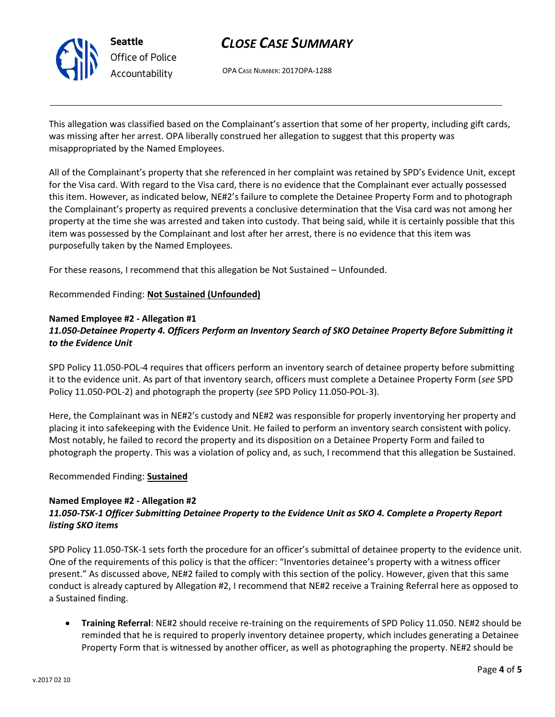

# *CLOSE CASE SUMMARY*

OPA CASE NUMBER: 2017OPA-1288

This allegation was classified based on the Complainant's assertion that some of her property, including gift cards, was missing after her arrest. OPA liberally construed her allegation to suggest that this property was misappropriated by the Named Employees.

All of the Complainant's property that she referenced in her complaint was retained by SPD's Evidence Unit, except for the Visa card. With regard to the Visa card, there is no evidence that the Complainant ever actually possessed this item. However, as indicated below, NE#2's failure to complete the Detainee Property Form and to photograph the Complainant's property as required prevents a conclusive determination that the Visa card was not among her property at the time she was arrested and taken into custody. That being said, while it is certainly possible that this item was possessed by the Complainant and lost after her arrest, there is no evidence that this item was purposefully taken by the Named Employees.

For these reasons, I recommend that this allegation be Not Sustained – Unfounded.

### Recommended Finding: **Not Sustained (Unfounded)**

#### **Named Employee #2 - Allegation #1**

## *11.050-Detainee Property 4. Officers Perform an Inventory Search of SKO Detainee Property Before Submitting it to the Evidence Unit*

SPD Policy 11.050-POL-4 requires that officers perform an inventory search of detainee property before submitting it to the evidence unit. As part of that inventory search, officers must complete a Detainee Property Form (*see* SPD Policy 11.050-POL-2) and photograph the property (*see* SPD Policy 11.050-POL-3).

Here, the Complainant was in NE#2's custody and NE#2 was responsible for properly inventorying her property and placing it into safekeeping with the Evidence Unit. He failed to perform an inventory search consistent with policy. Most notably, he failed to record the property and its disposition on a Detainee Property Form and failed to photograph the property. This was a violation of policy and, as such, I recommend that this allegation be Sustained.

#### Recommended Finding: **Sustained**

### **Named Employee #2 - Allegation #2**

## *11.050-TSK-1 Officer Submitting Detainee Property to the Evidence Unit as SKO 4. Complete a Property Report listing SKO items*

SPD Policy 11.050-TSK-1 sets forth the procedure for an officer's submittal of detainee property to the evidence unit. One of the requirements of this policy is that the officer: "Inventories detainee's property with a witness officer present." As discussed above, NE#2 failed to comply with this section of the policy. However, given that this same conduct is already captured by Allegation #2, I recommend that NE#2 receive a Training Referral here as opposed to a Sustained finding.

• **Training Referral**: NE#2 should receive re-training on the requirements of SPD Policy 11.050. NE#2 should be reminded that he is required to properly inventory detainee property, which includes generating a Detainee Property Form that is witnessed by another officer, as well as photographing the property. NE#2 should be